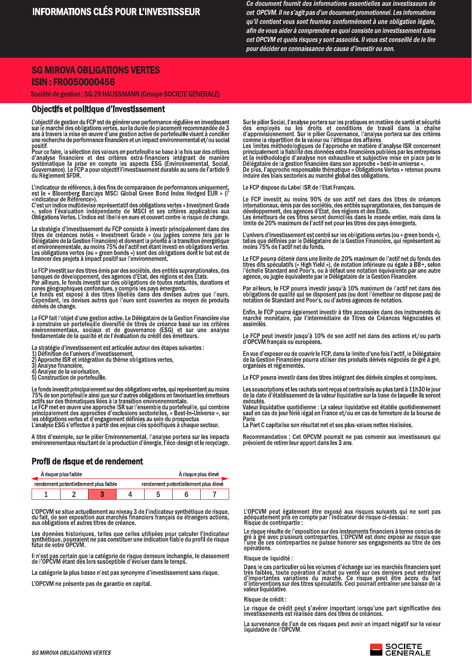Ce document fournit des informations essentielles aux investisseurs de cet OPCVM. Il ne s'agit pas d'un document promotionnel. Les informations qu'il contient vous sont fournies conformément à une obligation légale, afin de vous aider à comprendre en quoi consiste un investissement dans cet OPCVM et quels risques y sont associés. Il vous est conseillé de le lire pour décider en connaissance de cause d'investir ou non.

# **SG MIROVA OBLIGATIONS VERTES**

**ISIN: FR0050000456** 

Société de gestion : SG 29 HAUSSMANN (Groupe SOCIETE GENERALE)

### Objectifs et politique d'investissement

L'objectif de gestion du FCP est de générer une performance régulière en investissant<br>sur le marché des obligations vertes, sur la durée de placement recommandée de 3<br>ans à travers la mise en œuvre d'une gestion active de nositif.<br>Pour ce faire, la sélection des valeurs en portefeuille se base à la fois sur des critères

d'analyse financière et des critères extra-financiers intégrant de manière<br>systématique la prise en compte les aspects ESG (Environnemental, Social,<br>Gouvernance). Le FCP a pour objectif l'investissement durable au sens de du Règlement SFDR.

L'indicateur de référence, à des fins de comparaison de performances uniquement,<br>est le « Bloomberg Barclays MSCI Global Green Bond Index Hedged EUR » (l'<br>«Indicateur de Référence»).<br>C'est un indice multidevise représentat

Obligations Vertes. L'indice est libellé en euro et couvert contre le risque de change.

La stratégie d'investissement du FCP consiste à investir principalement dans des titres de créances notés « Investment Grade » (ou jugées comme tels par le<br>Délégataire de la Gestion Financière) et donnant la priorité à la transition énergétique<br>et environnementale, au moins 75% de l'actif net étant inv Les obligations vertes.<br>Les obligations vertes (ou « green bonds ») sont des obligations dont le but est de<br>financer des projets à impact positif sur l'environnement.

Le FCP investit sur des titres émis par des sociétés, des entités supranationales, des<br>banques de développement, des agences d'Etat, des régions et des États.<br>Par ailleurs, le fonds investit sur des obligations de toutes m

dérivés de change.

Le FCP fait l'objet d'une gestion active. Le Délégataire de la Gestion Financière vise<br>à construire un portefeuille diversifié de titres de créance basé sur les critères<br>environnementaux, sociaux et de gouvernance (ESG) et

La stratégie d'investissement est articulée autour des étapes suivantes :<br>1) Définition de l'univers d'investissement,<br>2) Approche ISR et intégration du thème de l'année de la contre SR et intégration du thème de la contre

- 
- Approche ISR et intégration du thème obligations vertes

Analyse financière,<br>Analyse de la valorisation.

 $\overline{5}$ Construction de portefeuille.

Le fonds investit principalement sur des obligations vertes, qui représentent au moins<br>75% de son portéfeuille ainsi que sur d'autres obligations en favorisant les émetteurs<br>actifs sur des thématiques liées à la transition

A titre d'exemple, sur le pilier Environnemental, l'analyse portera sur les impacts<br>environnementaux résultant de la production d'énergie, l'éco-design et le recyclage.

## Profil de risque et de rendement

| A risque plus faible |                                       |  |  | A risque plus élevé                  |  |  |  |
|----------------------|---------------------------------------|--|--|--------------------------------------|--|--|--|
|                      | rendement potentiellement plus faible |  |  | rendement potentiellement plus élevé |  |  |  |
|                      |                                       |  |  |                                      |  |  |  |

L'OPCVM se situe actuellement au niveau 3 de l'indicateur synthétique de risque,<br>du fait, de son exposition aux marchés financiers français ou étrangers actions,<br>aux obligations et autres titres de créance.

Les données historiques, telles que celles utilisées pour calculer l'indicateur<br>synthétique, pourraient ne pas constituer une indication fiable du profil de risque<br>futur de votre OPCVM.

Il n'est pas certain que la catégorie de risque demeure inchangée, le classement<br>de l'OPCVM étant dès lors susceptible d'évoluer dans le temps.

La catégorie la plus basse n'est pas synonyme d'investissement sans risque.

L'OPCVM ne présente pas de garantie en capital.

Sur le pilier Social, l'analyse portera sur les pratiques en matière de santé et sécurité<br>des employés ou les droits et conditions de travail dans la chaîne<br>d'approvisionnement. Sur le pilier Gouvernance, l'analyse portera

Délégataire de la gestion financière dans son approche « best-in-universe ».<br>De plus, l'approche responsable thématique « Obligations Vertes » retenue pourra<br>induire des biais sectoriels au marché global des obligations.

Le FCP dispose du Label ISR de l'Etat Francais.

Le FCP investit au moins 90% de son actif net dans des titres de créances<br>internationaux, émis par des sociétés, des entités supranationales, des banques de<br>développement, des agences d'Etat, des régions et des États.<br>Les

L'univers d'investissement est centré sur les obligations vertes (ou « green bonds »), telles que définies par le Délégataire de la Gestion Financière, qui représentent au moins 75% de l'actif net du fonds.

Le FCP pourra détenir dans une limite de 20% maximum de l'actif net du fonds des<br>titres dits spéculatifs (« High Yield »), de notation inférieure ou égale à BB+, selon<br>l'échelle Standard and Poor's, ou à défaut une notatio

Par ailleurs, le FCP pourra investir jusqu'à 10% maximum de l'actif net dans des<br>obligations de qualité qui ne disposent pas (ou dont l'émetteur ne dispose pas) de<br>notation de Standard and Poor's, ou d'autres agences de no

Enfin, le FCP pourra également investir à titre accessoire dans des instruments du<br>marché monétaire, par l'intermédiaire de Titres de Créances Négociables et assimilés.

Le FCP peut investir jusqu'à 10% de son actif net dans des actions et/ou parts<br>d'OPCVM français ou européens.

En vue d'exposer ou de couvrir le FCP, dans la limite d'une fois l'actif, le Délégataire de la Gestion Financière pourra utiliser des produits dérivés négociés de gré à gré, organisés et réglementés.

Le FCP pourra investir dans des titres intégrant des dérivés simples et complexes.

Les souscriptions et les rachats sont reçus et centralisés au plus tard à 11h30 le jour<br>de la date d'établissement de la valeur liquidative sur la base de laquelle ils seront exécutés

Valeur liquidative quotidienne : La valeur liquidative est établie quotidiennement sauf en cas de jour férié légal en France et/ou en cas de fermeture de la bourse de Paris

La Part C capitalise son résultat net et ses plus-values nettes réalisées.

Recommandation : Cet OPCVM pourrait ne pas convenir aux investisseurs qui prévoient de retirer leur apport dans les 3 ans.

L'OPCVM peut également être exposé aux risques suivants qui ne sont pas<br>adéquatement pris en compte par l'indicateur de risque ci-dessus :<br>Risque de contrepartie :

Le risque résulte de l'exposition sur des instruments financiers à terme conclus de<br>gré à gré avec plusieurs contreparties. L'OPCVM est donc exposé au risque que<br>l'une de ces contreparties ne puisse honorer ses engagements opérations.

Risque de liquidité :

Dans le cas particulier où les volumes d'échange sur les marchés financiers sont<br>très faibles, toute opération d'achat ou vente sur ces derniers peut entraîner<br>d'importantes variations du marché. Ce risque peut être accru

#### Risque de crédit :

Le risque de crédit peut s'avérer important lorsqu'une part significative des investissements est réalisée dans des titres de créances.

La survenance de l'un de ces risques peut avoir un impact négatif sur la valeur<br>liquidative de l'OPCVM.